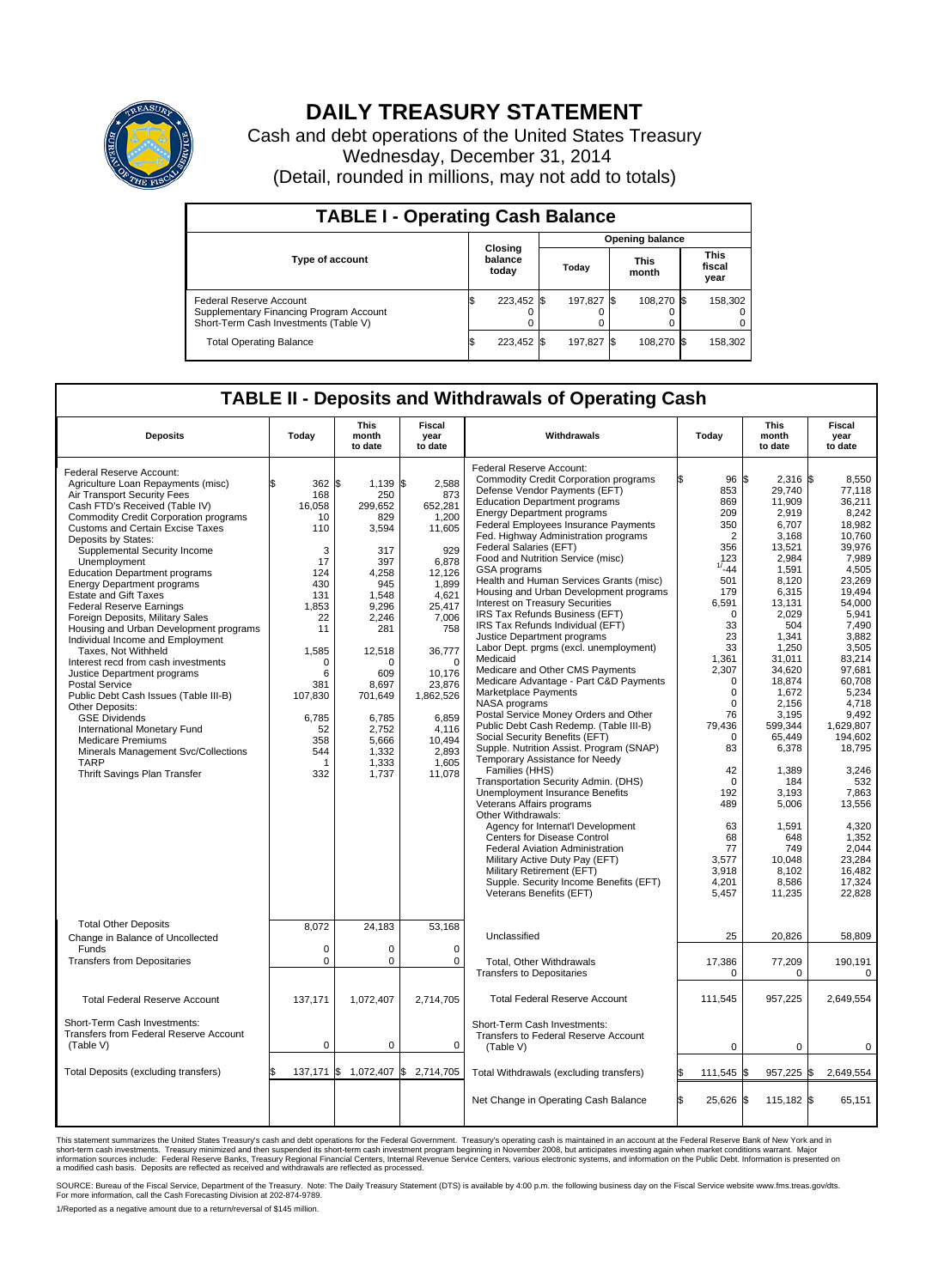

## **DAILY TREASURY STATEMENT**

Cash and debt operations of the United States Treasury Wednesday, December 31, 2014 (Detail, rounded in millions, may not add to totals)

| <b>TABLE I - Operating Cash Balance</b>                                                                     |                        |                             |  |            |  |                      |  |                               |  |  |  |
|-------------------------------------------------------------------------------------------------------------|------------------------|-----------------------------|--|------------|--|----------------------|--|-------------------------------|--|--|--|
|                                                                                                             | <b>Opening balance</b> |                             |  |            |  |                      |  |                               |  |  |  |
| <b>Type of account</b>                                                                                      |                        | Closing<br>balance<br>today |  | Today      |  | <b>This</b><br>month |  | <b>This</b><br>fiscal<br>year |  |  |  |
| Federal Reserve Account<br>Supplementary Financing Program Account<br>Short-Term Cash Investments (Table V) |                        | 223,452 \$                  |  | 197.827 \$ |  | 108.270 \$           |  | 158,302                       |  |  |  |
| <b>Total Operating Balance</b>                                                                              | ΙФ                     | 223,452 \$                  |  | 197,827 \$ |  | 108,270 \$           |  | 158,302                       |  |  |  |

## **TABLE II - Deposits and Withdrawals of Operating Cash**

| <b>Deposits</b>                                                                                                                                                                                                                                                                                                                                                                                                                                                                                                                                                                                                                                                                                                                                                                                                                                                                                                         | Today                                                                                                                                                                        | <b>This</b><br>month<br>to date                                                                                                                                                                                     | <b>Fiscal</b><br>year<br>to date                                                                                                                                                                                                | Withdrawals                                                                                                                                                                                                                                                                                                                                                                                                                                                                                                                                                                                                                                                                                                                                                                                                                                                                                                                                                                                                                                                                                                                                                                                                                                                                                                                                                                | Today                                                                                                                                                                                                                                                                                                                    | <b>This</b><br>month<br>to date                                                                                                                                                                                                                                                                                                           |                                                                                                                                                                                                                                                                                                                                                                  |
|-------------------------------------------------------------------------------------------------------------------------------------------------------------------------------------------------------------------------------------------------------------------------------------------------------------------------------------------------------------------------------------------------------------------------------------------------------------------------------------------------------------------------------------------------------------------------------------------------------------------------------------------------------------------------------------------------------------------------------------------------------------------------------------------------------------------------------------------------------------------------------------------------------------------------|------------------------------------------------------------------------------------------------------------------------------------------------------------------------------|---------------------------------------------------------------------------------------------------------------------------------------------------------------------------------------------------------------------|---------------------------------------------------------------------------------------------------------------------------------------------------------------------------------------------------------------------------------|----------------------------------------------------------------------------------------------------------------------------------------------------------------------------------------------------------------------------------------------------------------------------------------------------------------------------------------------------------------------------------------------------------------------------------------------------------------------------------------------------------------------------------------------------------------------------------------------------------------------------------------------------------------------------------------------------------------------------------------------------------------------------------------------------------------------------------------------------------------------------------------------------------------------------------------------------------------------------------------------------------------------------------------------------------------------------------------------------------------------------------------------------------------------------------------------------------------------------------------------------------------------------------------------------------------------------------------------------------------------------|--------------------------------------------------------------------------------------------------------------------------------------------------------------------------------------------------------------------------------------------------------------------------------------------------------------------------|-------------------------------------------------------------------------------------------------------------------------------------------------------------------------------------------------------------------------------------------------------------------------------------------------------------------------------------------|------------------------------------------------------------------------------------------------------------------------------------------------------------------------------------------------------------------------------------------------------------------------------------------------------------------------------------------------------------------|
| Federal Reserve Account:<br>Agriculture Loan Repayments (misc)<br>Air Transport Security Fees<br>Cash FTD's Received (Table IV)<br><b>Commodity Credit Corporation programs</b><br>Customs and Certain Excise Taxes<br>Deposits by States:<br>Supplemental Security Income<br>Unemployment<br><b>Education Department programs</b><br><b>Energy Department programs</b><br><b>Estate and Gift Taxes</b><br><b>Federal Reserve Earnings</b><br>Foreign Deposits, Military Sales<br>Housing and Urban Development programs<br>Individual Income and Employment<br>Taxes, Not Withheld<br>Interest recd from cash investments<br>Justice Department programs<br><b>Postal Service</b><br>Public Debt Cash Issues (Table III-B)<br>Other Deposits:<br><b>GSE Dividends</b><br>International Monetary Fund<br><b>Medicare Premiums</b><br>Minerals Management Svc/Collections<br><b>TARP</b><br>Thrift Savings Plan Transfer | 362<br>168<br>16,058<br>10<br>110<br>3<br>17<br>124<br>430<br>131<br>1,853<br>22<br>11<br>1,585<br>$\Omega$<br>6<br>381<br>107,830<br>6,785<br>52<br>358<br>544<br>-1<br>332 | l\$<br>$1,139$ \$<br>250<br>299,652<br>829<br>3,594<br>317<br>397<br>4,258<br>945<br>1,548<br>9,296<br>2,246<br>281<br>12,518<br>O<br>609<br>8,697<br>701,649<br>6,785<br>2,752<br>5,666<br>1,332<br>1,333<br>1,737 | 2,588<br>873<br>652,281<br>1,200<br>11,605<br>929<br>6.878<br>12,126<br>1,899<br>4,621<br>25,417<br>7,006<br>758<br>36,777<br>$\Omega$<br>10.176<br>23,876<br>1,862,526<br>6,859<br>4,116<br>10,494<br>2,893<br>1,605<br>11,078 | Federal Reserve Account:<br><b>Commodity Credit Corporation programs</b><br>Defense Vendor Payments (EFT)<br><b>Education Department programs</b><br><b>Energy Department programs</b><br>Federal Employees Insurance Payments<br>Fed. Highway Administration programs<br>Federal Salaries (EFT)<br>Food and Nutrition Service (misc)<br>GSA programs<br>Health and Human Services Grants (misc)<br>Housing and Urban Development programs<br><b>Interest on Treasury Securities</b><br>IRS Tax Refunds Business (EFT)<br>IRS Tax Refunds Individual (EFT)<br>Justice Department programs<br>Labor Dept. prgms (excl. unemployment)<br>Medicaid<br>Medicare and Other CMS Payments<br>Medicare Advantage - Part C&D Payments<br>Marketplace Payments<br>NASA programs<br>Postal Service Money Orders and Other<br>Public Debt Cash Redemp. (Table III-B)<br>Social Security Benefits (EFT)<br>Supple. Nutrition Assist. Program (SNAP)<br>Temporary Assistance for Needy<br>Families (HHS)<br>Transportation Security Admin. (DHS)<br>Unemployment Insurance Benefits<br>Veterans Affairs programs<br>Other Withdrawals:<br>Agency for Internat'l Development<br><b>Centers for Disease Control</b><br>Federal Aviation Administration<br>Military Active Duty Pay (EFT)<br>Military Retirement (EFT)<br>Supple. Security Income Benefits (EFT)<br>Veterans Benefits (EFT) | ß.<br>96 \$<br>853<br>869<br>209<br>350<br>$\overline{2}$<br>356<br>123<br>$1/ -44$<br>501<br>179<br>6,591<br>$\mathbf 0$<br>33<br>23<br>33<br>1,361<br>2,307<br>$\Omega$<br>$\mathbf 0$<br>$\Omega$<br>76<br>79,436<br>0<br>83<br>42<br>$\mathbf 0$<br>192<br>489<br>63<br>68<br>77<br>3,577<br>3,918<br>4,201<br>5,457 | $2,316$ \$<br>29,740<br>11.909<br>2,919<br>6,707<br>3,168<br>13,521<br>2,984<br>1,591<br>8,120<br>6,315<br>13,131<br>2.029<br>504<br>1,341<br>1,250<br>31,011<br>34,620<br>18,874<br>1,672<br>2.156<br>3.195<br>599,344<br>65,449<br>6,378<br>1,389<br>184<br>3,193<br>5,006<br>1,591<br>648<br>749<br>10.048<br>8,102<br>8,586<br>11,235 | to date<br>8,550<br>77,118<br>36.211<br>8,242<br>18,982<br>10,760<br>39.976<br>7,989<br>4,505<br>23,269<br>19,494<br>54.000<br>5.941<br>7,490<br>3,882<br>3.505<br>83,214<br>97,681<br>60.708<br>5,234<br>4,718<br>9.492<br>1,629,807<br>194,602<br>18,795<br>3,246<br>532<br>7,863<br>13,556<br>4,320<br>1,352<br>2,044<br>23,284<br>16,482<br>17,324<br>22,828 |
| <b>Total Other Deposits</b><br>Change in Balance of Uncollected<br>Funds<br><b>Transfers from Depositaries</b>                                                                                                                                                                                                                                                                                                                                                                                                                                                                                                                                                                                                                                                                                                                                                                                                          | 8,072<br>$\mathbf 0$<br>$\mathbf 0$                                                                                                                                          | 24,183<br>$\Omega$<br>0                                                                                                                                                                                             | 53,168<br>$\Omega$<br>$\mathbf 0$                                                                                                                                                                                               | Unclassified<br>Total, Other Withdrawals<br><b>Transfers to Depositaries</b>                                                                                                                                                                                                                                                                                                                                                                                                                                                                                                                                                                                                                                                                                                                                                                                                                                                                                                                                                                                                                                                                                                                                                                                                                                                                                               | 25<br>17,386<br>$\Omega$                                                                                                                                                                                                                                                                                                 | 20,826<br>77,209<br>$\Omega$                                                                                                                                                                                                                                                                                                              | 58,809<br>190,191<br>0                                                                                                                                                                                                                                                                                                                                           |
| <b>Total Federal Reserve Account</b><br>Short-Term Cash Investments:                                                                                                                                                                                                                                                                                                                                                                                                                                                                                                                                                                                                                                                                                                                                                                                                                                                    | 137,171                                                                                                                                                                      | 1,072,407                                                                                                                                                                                                           | 2,714,705                                                                                                                                                                                                                       | <b>Total Federal Reserve Account</b>                                                                                                                                                                                                                                                                                                                                                                                                                                                                                                                                                                                                                                                                                                                                                                                                                                                                                                                                                                                                                                                                                                                                                                                                                                                                                                                                       | 111,545                                                                                                                                                                                                                                                                                                                  | 957,225                                                                                                                                                                                                                                                                                                                                   | 2,649,554                                                                                                                                                                                                                                                                                                                                                        |
| Transfers from Federal Reserve Account<br>(Table V)                                                                                                                                                                                                                                                                                                                                                                                                                                                                                                                                                                                                                                                                                                                                                                                                                                                                     | $\mathbf 0$                                                                                                                                                                  | 0                                                                                                                                                                                                                   | 0                                                                                                                                                                                                                               | Short-Term Cash Investments:<br>Transfers to Federal Reserve Account<br>(Table V)                                                                                                                                                                                                                                                                                                                                                                                                                                                                                                                                                                                                                                                                                                                                                                                                                                                                                                                                                                                                                                                                                                                                                                                                                                                                                          | 0                                                                                                                                                                                                                                                                                                                        | 0                                                                                                                                                                                                                                                                                                                                         | $\Omega$                                                                                                                                                                                                                                                                                                                                                         |
| Total Deposits (excluding transfers)                                                                                                                                                                                                                                                                                                                                                                                                                                                                                                                                                                                                                                                                                                                                                                                                                                                                                    | \$<br>137,171                                                                                                                                                                | l\$                                                                                                                                                                                                                 | 1,072,407 \$ 2,714,705                                                                                                                                                                                                          | Total Withdrawals (excluding transfers)                                                                                                                                                                                                                                                                                                                                                                                                                                                                                                                                                                                                                                                                                                                                                                                                                                                                                                                                                                                                                                                                                                                                                                                                                                                                                                                                    | 111,545 \$                                                                                                                                                                                                                                                                                                               | 957,225 \$                                                                                                                                                                                                                                                                                                                                | 2,649,554                                                                                                                                                                                                                                                                                                                                                        |
|                                                                                                                                                                                                                                                                                                                                                                                                                                                                                                                                                                                                                                                                                                                                                                                                                                                                                                                         |                                                                                                                                                                              |                                                                                                                                                                                                                     |                                                                                                                                                                                                                                 | Net Change in Operating Cash Balance                                                                                                                                                                                                                                                                                                                                                                                                                                                                                                                                                                                                                                                                                                                                                                                                                                                                                                                                                                                                                                                                                                                                                                                                                                                                                                                                       | 25,626 \$                                                                                                                                                                                                                                                                                                                | 115,182 \$                                                                                                                                                                                                                                                                                                                                | 65,151                                                                                                                                                                                                                                                                                                                                                           |

This statement summarizes the United States Treasury's cash and debt operations for the Federal Government. Treasury's operating cash is maintained in an account at the Federal Reserve Bank of New York and in<br>short-term ca

SOURCE: Bureau of the Fiscal Service, Department of the Treasury. Note: The Daily Treasury Statement (DTS) is available by 4:00 p.m. the following business day on the Fiscal Service website www.fms.treas.gov/dts.<br>For more

1/Reported as a negative amount due to a return/reversal of \$145 million.